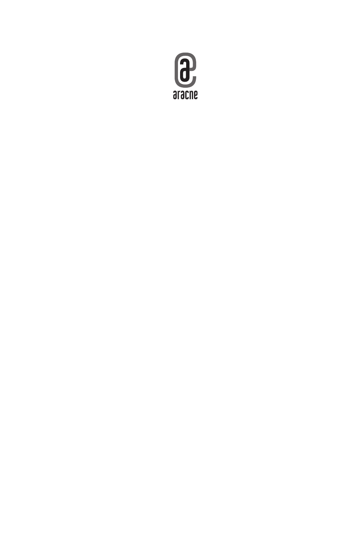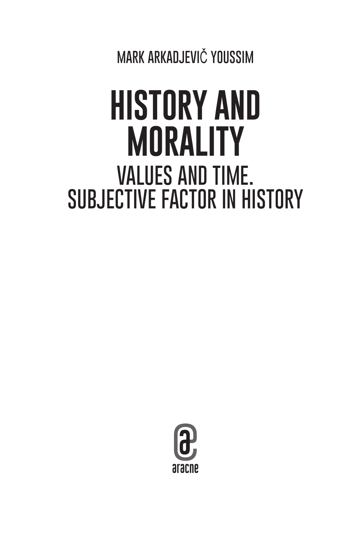**MARK ARKADJEVI**Č **YOUSSIM** 

# **HISTORY AND MORALITY VALUES AND TIME. SUBJECTIVE FACTOR IN HISTORY**

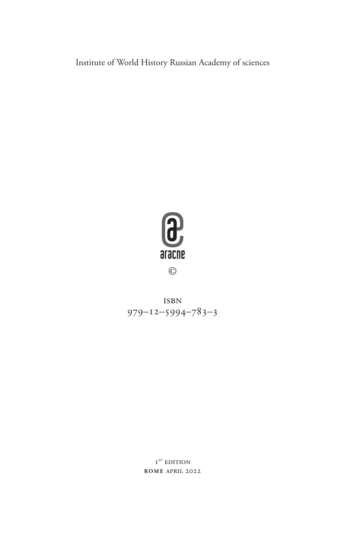Institute of World History Russian Academy of sciences



isbn 979–12–5994–783–3

> $\textbf{I}^{\text{ST}}$ EDITION **rom e** april 2022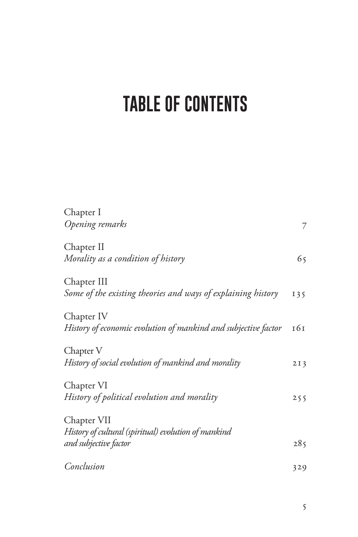## **TABLE OF CONTENTS**

| Chapter I<br>Opening remarks                                   |                 |
|----------------------------------------------------------------|-----------------|
|                                                                | 7               |
| Chapter II                                                     |                 |
| Morality as a condition of history                             | 65              |
| Chapter III                                                    |                 |
| Some of the existing theories and ways of explaining history   | 135             |
| Chapter IV                                                     |                 |
| History of economic evolution of mankind and subjective factor | 161             |
| Chapter V                                                      |                 |
| History of social evolution of mankind and morality            | 2I <sub>3</sub> |
| Chapter VI                                                     |                 |
| History of political evolution and morality                    | 255             |
| Chapter VII                                                    |                 |
| History of cultural (spiritual) evolution of mankind           |                 |
| and subjective factor                                          | 285             |
| Conclusion                                                     | 329             |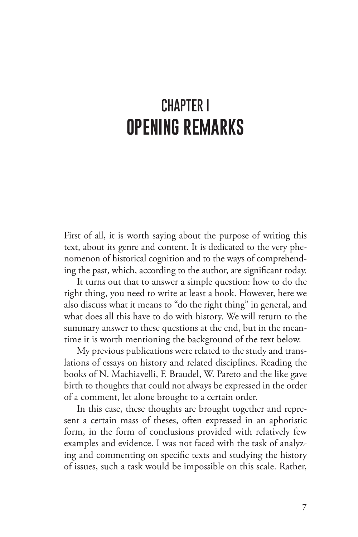### **CHAPTER I OPENING REMARKS**

First of all, it is worth saying about the purpose of writing this text, about its genre and content. It is dedicated to the very phenomenon of historical cognition and to the ways of comprehending the past, which, according to the author, are significant today.

It turns out that to answer a simple question: how to do the right thing, you need to write at least a book. However, here we also discuss what it means to "do the right thing" in general, and what does all this have to do with history. We will return to the summary answer to these questions at the end, but in the meantime it is worth mentioning the background of the text below.

My previous publications were related to the study and translations of essays on history and related disciplines. Reading the books of N. Machiavelli, F. Braudel, W. Pareto and the like gave birth to thoughts that could not always be expressed in the order of a comment, let alone brought to a certain order.

In this case, these thoughts are brought together and represent a certain mass of theses, often expressed in an aphoristic form, in the form of conclusions provided with relatively few examples and evidence. I was not faced with the task of analyzing and commenting on specific texts and studying the history of issues, such a task would be impossible on this scale. Rather,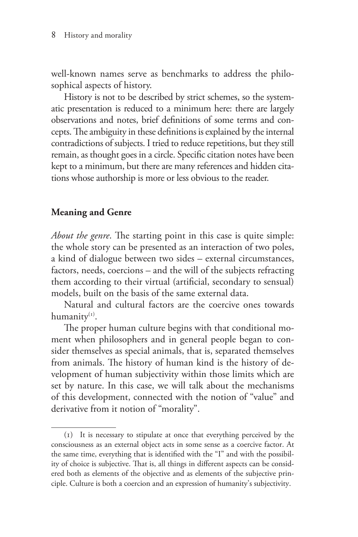well-known names serve as benchmarks to address the philosophical aspects of history.

History is not to be described by strict schemes, so the systematic presentation is reduced to a minimum here: there are largely observations and notes, brief definitions of some terms and concepts. The ambiguity in these definitions is explained by the internal contradictions of subjects. I tried to reduce repetitions, but they still remain, as thought goes in a circle. Specific citation notes have been kept to a minimum, but there are many references and hidden citations whose authorship is more or less obvious to the reader.

#### **Meaning and Genre**

*About the genre*. The starting point in this case is quite simple: the whole story can be presented as an interaction of two poles, a kind of dialogue between two sides – external circumstances, factors, needs, coercions – and the will of the subjects refracting them according to their virtual (artificial, secondary to sensual) models, built on the basis of the same external data.

Natural and cultural factors are the coercive ones towards humanity<sup>(1)</sup>.

The proper human culture begins with that conditional moment when philosophers and in general people began to consider themselves as special animals, that is, separated themselves from animals. The history of human kind is the history of development of human subjectivity within those limits which are set by nature. In this case, we will talk about the mechanisms of this development, connected with the notion of "value" and derivative from it notion of "morality".

<sup>(1)</sup> It is necessary to stipulate at once that everything perceived by the consciousness as an external object acts in some sense as a coercive factor. At the same time, everything that is identified with the "I" and with the possibility of choice is subjective. That is, all things in different aspects can be considered both as elements of the objective and as elements of the subjective principle. Culture is both a coercion and an expression of humanity's subjectivity.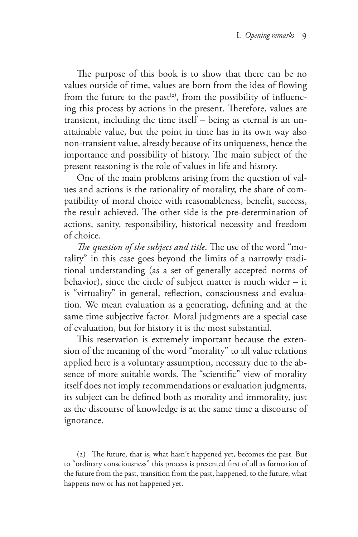The purpose of this book is to show that there can be no values outside of time, values are born from the idea of flowing from the future to the past<sup>(2)</sup>, from the possibility of influencing this process by actions in the present. Therefore, values are transient, including the time itself – being as eternal is an unattainable value, but the point in time has in its own way also non-transient value, already because of its uniqueness, hence the importance and possibility of history. The main subject of the present reasoning is the role of values in life and history.

One of the main problems arising from the question of values and actions is the rationality of morality, the share of compatibility of moral choice with reasonableness, benefit, success, the result achieved. The other side is the pre-determination of actions, sanity, responsibility, historical necessity and freedom of choice.

*The question of the subject and title*. The use of the word "morality" in this case goes beyond the limits of a narrowly traditional understanding (as a set of generally accepted norms of behavior), since the circle of subject matter is much wider – it is "virtuality" in general, reflection, consciousness and evaluation. We mean evaluation as a generating, defining and at the same time subjective factor. Moral judgments are a special case of evaluation, but for history it is the most substantial.

This reservation is extremely important because the extension of the meaning of the word "morality" to all value relations applied here is a voluntary assumption, necessary due to the absence of more suitable words. The "scientific" view of morality itself does not imply recommendations or evaluation judgments, its subject can be defined both as morality and immorality, just as the discourse of knowledge is at the same time a discourse of ignorance.

<sup>(2)</sup> The future, that is, what hasn't happened yet, becomes the past. But to "ordinary consciousness" this process is presented first of all as formation of the future from the past, transition from the past, happened, to the future, what happens now or has not happened yet.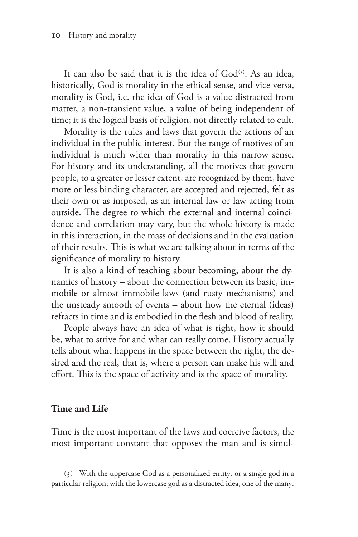It can also be said that it is the idea of  $God<sup>(3)</sup>$ . As an idea, historically, God is morality in the ethical sense, and vice versa, morality is God, i.e. the idea of God is a value distracted from matter, a non-transient value, a value of being independent of time; it is the logical basis of religion, not directly related to cult.

Morality is the rules and laws that govern the actions of an individual in the public interest. But the range of motives of an individual is much wider than morality in this narrow sense. For history and its understanding, all the motives that govern people, to a greater or lesser extent, are recognized by them, have more or less binding character, are accepted and rejected, felt as their own or as imposed, as an internal law or law acting from outside. The degree to which the external and internal coincidence and correlation may vary, but the whole history is made in this interaction, in the mass of decisions and in the evaluation of their results. This is what we are talking about in terms of the significance of morality to history.

It is also a kind of teaching about becoming, about the dynamics of history – about the connection between its basic, immobile or almost immobile laws (and rusty mechanisms) and the unsteady smooth of events – about how the eternal (ideas) refracts in time and is embodied in the flesh and blood of reality.

People always have an idea of what is right, how it should be, what to strive for and what can really come. History actually tells about what happens in the space between the right, the desired and the real, that is, where a person can make his will and effort. This is the space of activity and is the space of morality.

#### **Time and Life**

Time is the most important of the laws and coercive factors, the most important constant that opposes the man and is simul-

<sup>(3)</sup> With the uppercase God as a personalized entity, or a single god in a particular religion; with the lowercase god as a distracted idea, one of the many.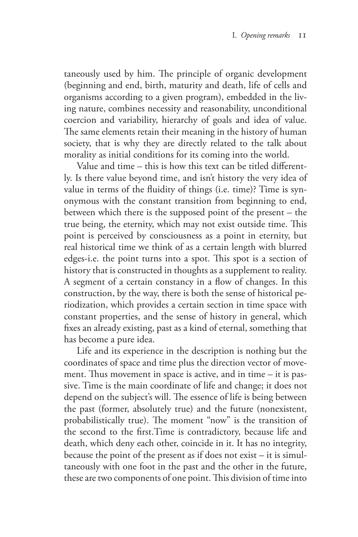taneously used by him. The principle of organic development (beginning and end, birth, maturity and death, life of cells and organisms according to a given program), embedded in the living nature, combines necessity and reasonability, unconditional coercion and variability, hierarchy of goals and idea of value. The same elements retain their meaning in the history of human society, that is why they are directly related to the talk about morality as initial conditions for its coming into the world.

Value and time – this is how this text can be titled differently. Is there value beyond time, and isn't history the very idea of value in terms of the fluidity of things (i.e. time)? Time is synonymous with the constant transition from beginning to end, between which there is the supposed point of the present – the true being, the eternity, which may not exist outside time. This point is perceived by consciousness as a point in eternity, but real historical time we think of as a certain length with blurred edges-i.e. the point turns into a spot. This spot is a section of history that is constructed in thoughts as a supplement to reality. A segment of a certain constancy in a flow of changes. In this construction, by the way, there is both the sense of historical periodization, which provides a certain section in time space with constant properties, and the sense of history in general, which fixes an already existing, past as a kind of eternal, something that has become a pure idea.

Life and its experience in the description is nothing but the coordinates of space and time plus the direction vector of movement. Thus movement in space is active, and in time – it is passive. Time is the main coordinate of life and change; it does not depend on the subject's will. The essence of life is being between the past (former, absolutely true) and the future (nonexistent, probabilistically true). The moment "now" is the transition of the second to the first.Time is contradictory, because life and death, which deny each other, coincide in it. It has no integrity, because the point of the present as if does not exist – it is simultaneously with one foot in the past and the other in the future, these are two components of one point. This division of time into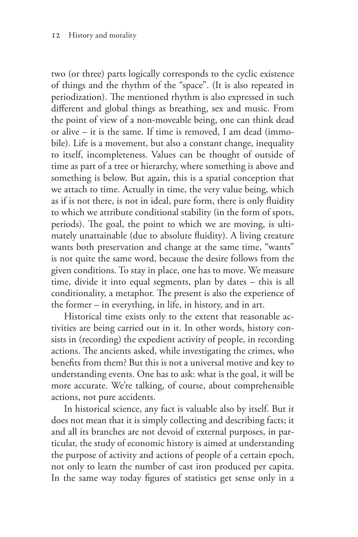two (or three) parts logically corresponds to the cyclic existence of things and the rhythm of the "space". (It is also repeated in periodization). The mentioned rhythm is also expressed in such different and global things as breathing, sex and music. From the point of view of a non-moveable being, one can think dead or alive – it is the same. If time is removed, I am dead (immobile). Life is a movement, but also a constant change, inequality to itself, incompleteness. Values can be thought of outside of time as part of a tree or hierarchy, where something is above and something is below. But again, this is a spatial conception that we attach to time. Actually in time, the very value being, which as if is not there, is not in ideal, pure form, there is only fluidity to which we attribute conditional stability (in the form of spots, periods). The goal, the point to which we are moving, is ultimately unattainable (due to absolute fluidity). A living creature wants both preservation and change at the same time, "wants" is not quite the same word, because the desire follows from the given conditions. To stay in place, one has to move. We measure time, divide it into equal segments, plan by dates – this is all conditionality, a metaphor. The present is also the experience of the former – in everything, in life, in history, and in art.

Historical time exists only to the extent that reasonable activities are being carried out in it. In other words, history consists in (recording) the expedient activity of people, in recording actions. The ancients asked, while investigating the crimes, who benefits from them? But this is not a universal motive and key to understanding events. One has to ask: what is the goal, it will be more accurate. We're talking, of course, about comprehensible actions, not pure accidents.

In historical science, any fact is valuable also by itself. But it does not mean that it is simply collecting and describing facts; it and all its branches are not devoid of external purposes, in particular, the study of economic history is aimed at understanding the purpose of activity and actions of people of a certain epoch, not only to learn the number of cast iron produced per capita. In the same way today figures of statistics get sense only in a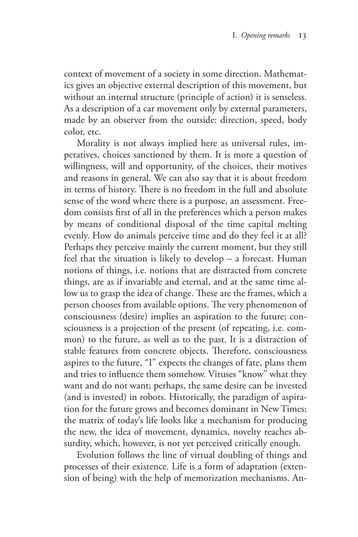context of movement of a society in some direction. Mathematics gives an objective external description of this movement, but without an internal structure (principle of action) it is senseless. As a description of a car movement only by external parameters, made by an observer from the outside: direction, speed, body color, etc.

Morality is not always implied here as universal rules, imperatives, choices sanctioned by them. It is more a question of willingness, will and opportunity, of the choices, their motives and reasons in general. We can also say that it is about freedom in terms of history. There is no freedom in the full and absolute sense of the word where there is a purpose, an assessment. Freedom consists first of all in the preferences which a person makes by means of conditional disposal of the time capital melting evenly. How do animals perceive time and do they feel it at all? Perhaps they perceive mainly the current moment, but they still feel that the situation is likely to develop – a forecast. Human notions of things, i.e. notions that are distracted from concrete things, are as if invariable and eternal, and at the same time allow us to grasp the idea of change. These are the frames, which a person chooses from available options. The very phenomenon of consciousness (desire) implies an aspiration to the future; consciousness is a projection of the present (of repeating, i.e. common) to the future, as well as to the past. It is a distraction of stable features from concrete objects. Therefore, consciousness aspires to the future, "I" expects the changes of fate, plans them and tries to influence them somehow. Viruses "know" what they want and do not want; perhaps, the same desire can be invested (and is invested) in robots. Historically, the paradigm of aspiration for the future grows and becomes dominant in New Times; the matrix of today's life looks like a mechanism for producing the new, the idea of movement, dynamics, novelty reaches absurdity, which, however, is not yet perceived critically enough.

Evolution follows the line of virtual doubling of things and processes of their existence. Life is a form of adaptation (extension of being) with the help of memorization mechanisms. An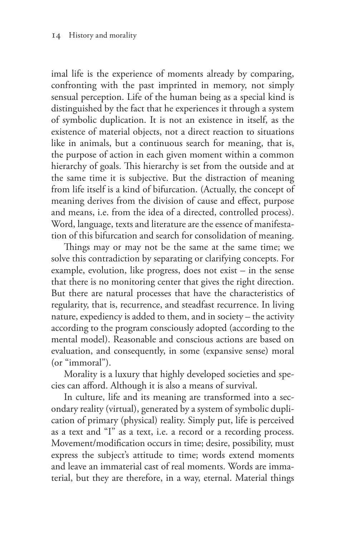imal life is the experience of moments already by comparing, confronting with the past imprinted in memory, not simply sensual perception. Life of the human being as a special kind is distinguished by the fact that he experiences it through a system of symbolic duplication. It is not an existence in itself, as the existence of material objects, not a direct reaction to situations like in animals, but a continuous search for meaning, that is, the purpose of action in each given moment within a common hierarchy of goals. This hierarchy is set from the outside and at the same time it is subjective. But the distraction of meaning from life itself is a kind of bifurcation. (Actually, the concept of meaning derives from the division of cause and effect, purpose and means, i.e. from the idea of a directed, controlled process). Word, language, texts and literature are the essence of manifestation of this bifurcation and search for consolidation of meaning.

Things may or may not be the same at the same time; we solve this contradiction by separating or clarifying concepts. For example, evolution, like progress, does not exist – in the sense that there is no monitoring center that gives the right direction. But there are natural processes that have the characteristics of regularity, that is, recurrence, and steadfast recurrence. In living nature, expediency is added to them, and in society – the activity according to the program consciously adopted (according to the mental model). Reasonable and conscious actions are based on evaluation, and consequently, in some (expansive sense) moral (or "immoral").

Morality is a luxury that highly developed societies and species can afford. Although it is also a means of survival.

In culture, life and its meaning are transformed into a secondary reality (virtual), generated by a system of symbolic duplication of primary (physical) reality. Simply put, life is perceived as a text and "I" as a text, i.e. a record or a recording process. Movement/modification occurs in time; desire, possibility, must express the subject's attitude to time; words extend moments and leave an immaterial cast of real moments. Words are immaterial, but they are therefore, in a way, eternal. Material things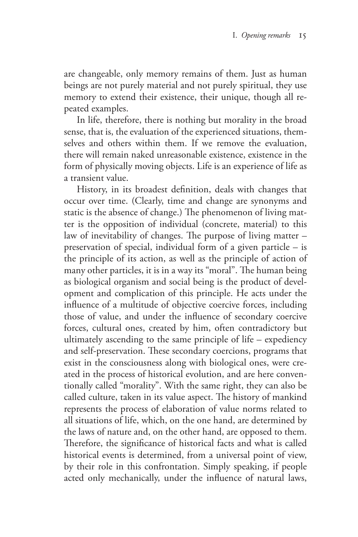are changeable, only memory remains of them. Just as human beings are not purely material and not purely spiritual, they use memory to extend their existence, their unique, though all repeated examples.

In life, therefore, there is nothing but morality in the broad sense, that is, the evaluation of the experienced situations, themselves and others within them. If we remove the evaluation, there will remain naked unreasonable existence, existence in the form of physically moving objects. Life is an experience of life as a transient value.

History, in its broadest definition, deals with changes that occur over time. (Clearly, time and change are synonyms and static is the absence of change.) The phenomenon of living matter is the opposition of individual (concrete, material) to this law of inevitability of changes. The purpose of living matter – preservation of special, individual form of a given particle – is the principle of its action, as well as the principle of action of many other particles, it is in a way its "moral". The human being as biological organism and social being is the product of development and complication of this principle. He acts under the influence of a multitude of objective coercive forces, including those of value, and under the influence of secondary coercive forces, cultural ones, created by him, often contradictory but ultimately ascending to the same principle of life – expediency and self-preservation. These secondary coercions, programs that exist in the consciousness along with biological ones, were created in the process of historical evolution, and are here conventionally called "morality". With the same right, they can also be called culture, taken in its value aspect. The history of mankind represents the process of elaboration of value norms related to all situations of life, which, on the one hand, are determined by the laws of nature and, on the other hand, are opposed to them. Therefore, the significance of historical facts and what is called historical events is determined, from a universal point of view, by their role in this confrontation. Simply speaking, if people acted only mechanically, under the influence of natural laws,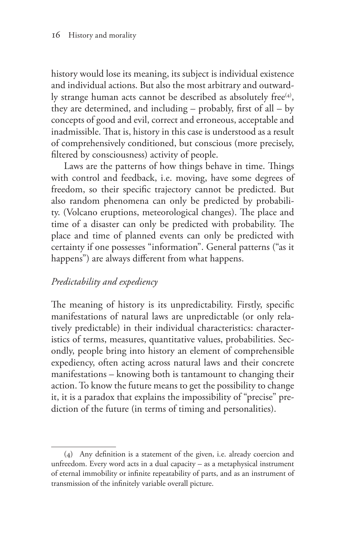history would lose its meaning, its subject is individual existence and individual actions. But also the most arbitrary and outwardly strange human acts cannot be described as absolutely free<sup>(4)</sup>, they are determined, and including – probably, first of all – by concepts of good and evil, correct and erroneous, acceptable and inadmissible. That is, history in this case is understood as a result of comprehensively conditioned, but conscious (more precisely, filtered by consciousness) activity of people.

Laws are the patterns of how things behave in time. Things with control and feedback, i.e. moving, have some degrees of freedom, so their specific trajectory cannot be predicted. But also random phenomena can only be predicted by probability. (Volcano eruptions, meteorological changes). The place and time of a disaster can only be predicted with probability. The place and time of planned events can only be predicted with certainty if one possesses "information". General patterns ("as it happens") are always different from what happens.

#### *Predictability and expediency*

The meaning of history is its unpredictability. Firstly, specific manifestations of natural laws are unpredictable (or only relatively predictable) in their individual characteristics: characteristics of terms, measures, quantitative values, probabilities. Secondly, people bring into history an element of comprehensible expediency, often acting across natural laws and their concrete manifestations – knowing both is tantamount to changing their action. To know the future means to get the possibility to change it, it is a paradox that explains the impossibility of "precise" prediction of the future (in terms of timing and personalities).

<sup>(4)</sup> Any definition is a statement of the given, i.e. already coercion and unfreedom. Every word acts in a dual capacity – as a metaphysical instrument of eternal immobility or infinite repeatability of parts, and as an instrument of transmission of the infinitely variable overall picture.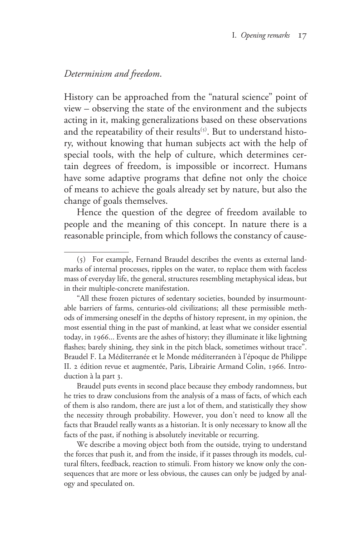#### *Determinism and freedom*.

History can be approached from the "natural science" point of view – observing the state of the environment and the subjects acting in it, making generalizations based on these observations and the repeatability of their results<sup>(5)</sup>. But to understand history, without knowing that human subjects act with the help of special tools, with the help of culture, which determines certain degrees of freedom, is impossible or incorrect. Humans have some adaptive programs that define not only the choice of means to achieve the goals already set by nature, but also the change of goals themselves.

Hence the question of the degree of freedom available to people and the meaning of this concept. In nature there is a reasonable principle, from which follows the constancy of cause-

We describe a moving object both from the outside, trying to understand the forces that push it, and from the inside, if it passes through its models, cultural filters, feedback, reaction to stimuli. From history we know only the consequences that are more or less obvious, the causes can only be judged by analogy and speculated on.

<sup>(5)</sup> For example, Fernand Braudel describes the events as external landmarks of internal processes, ripples on the water, to replace them with faceless mass of everyday life, the general, structures resembling metaphysical ideas, but in their multiple-concrete manifestation.

<sup>&</sup>quot;All these frozen pictures of sedentary societies, bounded by insurmountable barriers of farms, centuries-old civilizations; all these permissible methods of immersing oneself in the depths of history represent, in my opinion, the most essential thing in the past of mankind, at least what we consider essential today, in 1966... Events are the ashes of history; they illuminate it like lightning flashes; barely shining, they sink in the pitch black, sometimes without trace". Braudel F. La Méditerranée et le Monde méditerranéen à l'époque de Philippe II. 2 édition revue et augmentée, Paris, Librairie Armand Colin, 1966. Introduction à la part 3.

Braudel puts events in second place because they embody randomness, but he tries to draw conclusions from the analysis of a mass of facts, of which each of them is also random, there are just a lot of them, and statistically they show the necessity through probability. However, you don't need to know all the facts that Braudel really wants as a historian. It is only necessary to know all the facts of the past, if nothing is absolutely inevitable or recurring.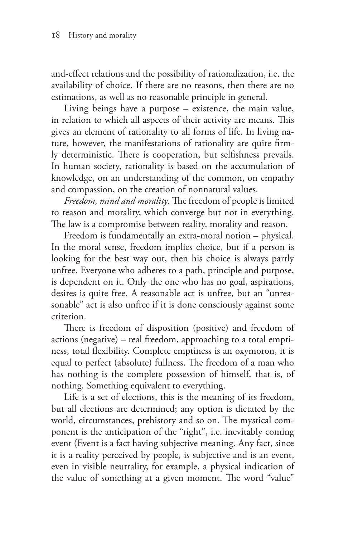and-effect relations and the possibility of rationalization, i.e. the availability of choice. If there are no reasons, then there are no estimations, as well as no reasonable principle in general.

Living beings have a purpose – existence, the main value, in relation to which all aspects of their activity are means. This gives an element of rationality to all forms of life. In living nature, however, the manifestations of rationality are quite firmly deterministic. There is cooperation, but selfishness prevails. In human society, rationality is based on the accumulation of knowledge, on an understanding of the common, on empathy and compassion, on the creation of nonnatural values.

*Freedom, mind and morality*. The freedom of people is limited to reason and morality, which converge but not in everything. The law is a compromise between reality, morality and reason.

Freedom is fundamentally an extra-moral notion – physical. In the moral sense, freedom implies choice, but if a person is looking for the best way out, then his choice is always partly unfree. Everyone who adheres to a path, principle and purpose, is dependent on it. Only the one who has no goal, aspirations, desires is quite free. A reasonable act is unfree, but an "unreasonable" act is also unfree if it is done consciously against some criterion.

There is freedom of disposition (positive) and freedom of actions (negative) – real freedom, approaching to a total emptiness, total flexibility. Complete emptiness is an oxymoron, it is equal to perfect (absolute) fullness. The freedom of a man who has nothing is the complete possession of himself, that is, of nothing. Something equivalent to everything.

Life is a set of elections, this is the meaning of its freedom, but all elections are determined; any option is dictated by the world, circumstances, prehistory and so on. The mystical component is the anticipation of the "right", i.e. inevitably coming event (Event is a fact having subjective meaning. Any fact, since it is a reality perceived by people, is subjective and is an event, even in visible neutrality, for example, a physical indication of the value of something at a given moment. The word "value"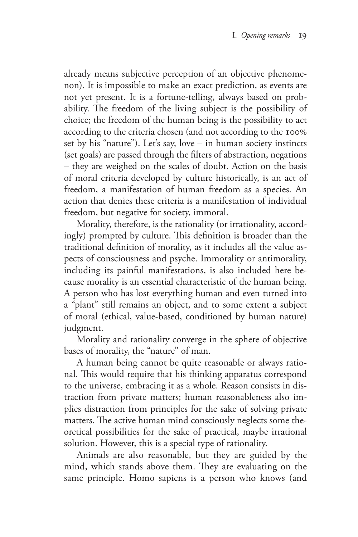already means subjective perception of an objective phenomenon). It is impossible to make an exact prediction, as events are not yet present. It is a fortune-telling, always based on probability. The freedom of the living subject is the possibility of choice; the freedom of the human being is the possibility to act according to the criteria chosen (and not according to the 100% set by his "nature"). Let's say, love – in human society instincts (set goals) are passed through the filters of abstraction, negations – they are weighed on the scales of doubt. Action on the basis of moral criteria developed by culture historically, is an act of freedom, a manifestation of human freedom as a species. An action that denies these criteria is a manifestation of individual freedom, but negative for society, immoral.

Morality, therefore, is the rationality (or irrationality, accordingly) prompted by culture. This definition is broader than the traditional definition of morality, as it includes all the value aspects of consciousness and psyche. Immorality or antimorality, including its painful manifestations, is also included here because morality is an essential characteristic of the human being. A person who has lost everything human and even turned into a "plant" still remains an object, and to some extent a subject of moral (ethical, value-based, conditioned by human nature) judgment.

Morality and rationality converge in the sphere of objective bases of morality, the "nature" of man.

A human being cannot be quite reasonable or always rational. This would require that his thinking apparatus correspond to the universe, embracing it as a whole. Reason consists in distraction from private matters; human reasonableness also implies distraction from principles for the sake of solving private matters. The active human mind consciously neglects some theoretical possibilities for the sake of practical, maybe irrational solution. However, this is a special type of rationality.

Animals are also reasonable, but they are guided by the mind, which stands above them. They are evaluating on the same principle. Homo sapiens is a person who knows (and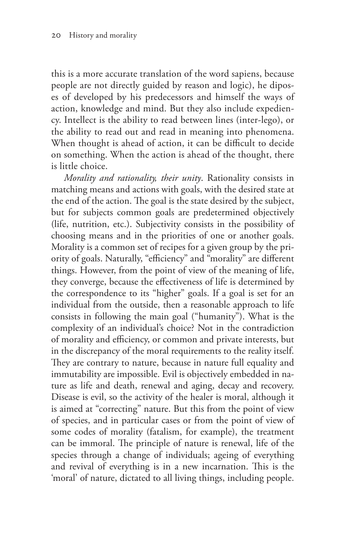this is a more accurate translation of the word sapiens, because people are not directly guided by reason and logic), he diposes of developed by his predecessors and himself the ways of action, knowledge and mind. But they also include expediency. Intellect is the ability to read between lines (inter-lego), or the ability to read out and read in meaning into phenomena. When thought is ahead of action, it can be difficult to decide on something. When the action is ahead of the thought, there is little choice.

*Morality and rationality, their unity*. Rationality consists in matching means and actions with goals, with the desired state at the end of the action. The goal is the state desired by the subject, but for subjects common goals are predetermined objectively (life, nutrition, etc.). Subjectivity consists in the possibility of choosing means and in the priorities of one or another goals. Morality is a common set of recipes for a given group by the priority of goals. Naturally, "efficiency" and "morality" are different things. However, from the point of view of the meaning of life, they converge, because the effectiveness of life is determined by the correspondence to its "higher" goals. If a goal is set for an individual from the outside, then a reasonable approach to life consists in following the main goal ("humanity"). What is the complexity of an individual's choice? Not in the contradiction of morality and efficiency, or common and private interests, but in the discrepancy of the moral requirements to the reality itself. They are contrary to nature, because in nature full equality and immutability are impossible. Evil is objectively embedded in nature as life and death, renewal and aging, decay and recovery. Disease is evil, so the activity of the healer is moral, although it is aimed at "correcting" nature. But this from the point of view of species, and in particular cases or from the point of view of some codes of morality (fatalism, for example), the treatment can be immoral. The principle of nature is renewal, life of the species through a change of individuals; ageing of everything and revival of everything is in a new incarnation. This is the 'moral' of nature, dictated to all living things, including people.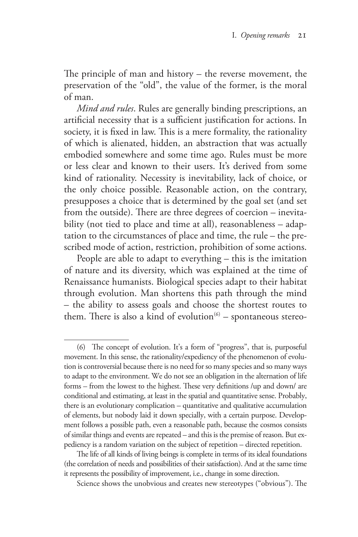The principle of man and history – the reverse movement, the preservation of the "old", the value of the former, is the moral of man.

*Mind and rules*. Rules are generally binding prescriptions, an artificial necessity that is a sufficient justification for actions. In society, it is fixed in law. This is a mere formality, the rationality of which is alienated, hidden, an abstraction that was actually embodied somewhere and some time ago. Rules must be more or less clear and known to their users. It's derived from some kind of rationality. Necessity is inevitability, lack of choice, or the only choice possible. Reasonable action, on the contrary, presupposes a choice that is determined by the goal set (and set from the outside). There are three degrees of coercion – inevitability (not tied to place and time at all), reasonableness - adaptation to the circumstances of place and time, the rule – the prescribed mode of action, restriction, prohibition of some actions.

People are able to adapt to everything – this is the imitation of nature and its diversity, which was explained at the time of Renaissance humanists. Biological species adapt to their habitat through evolution. Man shortens this path through the mind – the ability to assess goals and choose the shortest routes to them. There is also a kind of evolution ${}^{(6)}$  – spontaneous stereo-

<sup>(6)</sup> The concept of evolution. It's a form of "progress", that is, purposeful movement. In this sense, the rationality/expediency of the phenomenon of evolution is controversial because there is no need for so many species and so many ways to adapt to the environment. We do not see an obligation in the alternation of life forms – from the lowest to the highest. These very definitions /up and down/ are conditional and estimating, at least in the spatial and quantitative sense. Probably, there is an evolutionary complication – quantitative and qualitative accumulation of elements, but nobody laid it down specially, with a certain purpose. Development follows a possible path, even a reasonable path, because the cosmos consists of similar things and events are repeated – and this is the premise of reason. But expediency is a random variation on the subject of repetition – directed repetition.

The life of all kinds of living beings is complete in terms of its ideal foundations (the correlation of needs and possibilities of their satisfaction). And at the same time it represents the possibility of improvement, i.e., change in some direction.

Science shows the unobvious and creates new stereotypes ("obvious"). The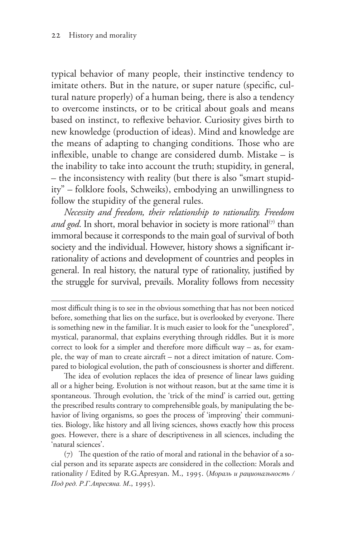typical behavior of many people, their instinctive tendency to imitate others. But in the nature, or super nature (specific, cultural nature properly) of a human being, there is also a tendency to overcome instincts, or to be critical about goals and means based on instinct, to reflexive behavior. Curiosity gives birth to new knowledge (production of ideas). Mind and knowledge are the means of adapting to changing conditions. Those who are inflexible, unable to change are considered dumb. Mistake – is the inability to take into account the truth; stupidity, in general, – the inconsistency with reality (but there is also "smart stupidity" – folklore fools, Schweiks), embodying an unwillingness to follow the stupidity of the general rules.

*Necessity and freedom, their relationship to rationality. Freedom*  and god. In short, moral behavior in society is more rational<sup>(7)</sup> than immoral because it corresponds to the main goal of survival of both society and the individual. However, history shows a significant irrationality of actions and development of countries and peoples in general. In real history, the natural type of rationality, justified by the struggle for survival, prevails. Morality follows from necessity

most difficult thing is to see in the obvious something that has not been noticed before, something that lies on the surface, but is overlooked by everyone. There is something new in the familiar. It is much easier to look for the "unexplored", mystical, paranormal, that explains everything through riddles. But it is more correct to look for a simpler and therefore more difficult way – as, for example, the way of man to create aircraft – not a direct imitation of nature. Compared to biological evolution, the path of consciousness is shorter and different.

The idea of evolution replaces the idea of presence of linear laws guiding all or a higher being. Evolution is not without reason, but at the same time it is spontaneous. Through evolution, the 'trick of the mind' is carried out, getting the prescribed results contrary to comprehensible goals, by manipulating the behavior of living organisms, so goes the process of 'improving' their communities. Biology, like history and all living sciences, shows exactly how this process goes. However, there is a share of descriptiveness in all sciences, including the 'natural sciences'.

(7) The question of the ratio of moral and rational in the behavior of a social person and its separate aspects are considered in the collection: Morals and rationality / Edited by R.G.Apresyan. M., 1995. (*Мораль и рациональность / Под ред. Р.Г.Апресяна. М*., 1995).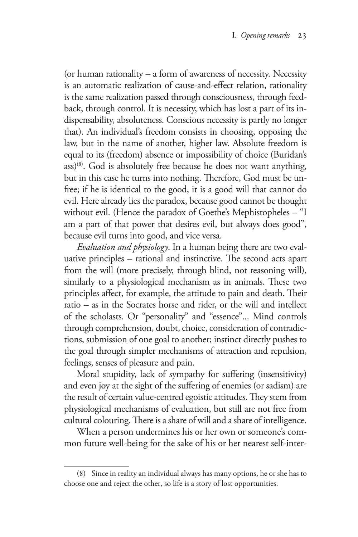(or human rationality – a form of awareness of necessity. Necessity is an automatic realization of cause-and-effect relation, rationality is the same realization passed through consciousness, through feedback, through control. It is necessity, which has lost a part of its indispensability, absoluteness. Conscious necessity is partly no longer that). An individual's freedom consists in choosing, opposing the law, but in the name of another, higher law. Absolute freedom is equal to its (freedom) absence or impossibility of choice (Buridan's ass)(8). God is absolutely free because he does not want anything, but in this case he turns into nothing. Therefore, God must be unfree; if he is identical to the good, it is a good will that cannot do evil. Here already lies the paradox, because good cannot be thought without evil. (Hence the paradox of Goethe's Mephistopheles – "I am a part of that power that desires evil, but always does good", because evil turns into good, and vice versa.

*Evaluation and physiology*. In a human being there are two evaluative principles – rational and instinctive. The second acts apart from the will (more precisely, through blind, not reasoning will), similarly to a physiological mechanism as in animals. These two principles affect, for example, the attitude to pain and death. Their ratio – as in the Socrates horse and rider, or the will and intellect of the scholasts. Or "personality" and "essence"... Mind controls through comprehension, doubt, choice, consideration of contradictions, submission of one goal to another; instinct directly pushes to the goal through simpler mechanisms of attraction and repulsion, feelings, senses of pleasure and pain.

Moral stupidity, lack of sympathy for suffering (insensitivity) and even joy at the sight of the suffering of enemies (or sadism) are the result of certain value-centred egoistic attitudes. They stem from physiological mechanisms of evaluation, but still are not free from cultural colouring. There is a share of will and a share of intelligence.

When a person undermines his or her own or someone's common future well-being for the sake of his or her nearest self-inter-

<sup>(8)</sup> Since in reality an individual always has many options, he or she has to choose one and reject the other, so life is a story of lost opportunities.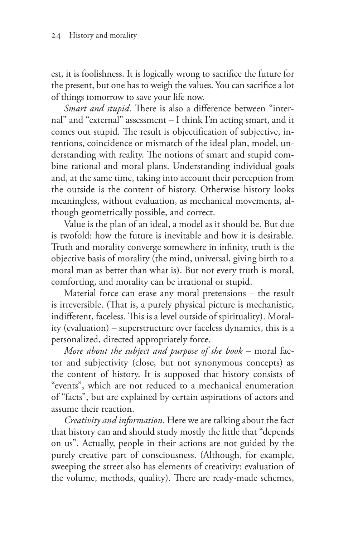est, it is foolishness. It is logically wrong to sacrifice the future for the present, but one has to weigh the values. You can sacrifice a lot of things tomorrow to save your life now.

*Smart and stupid*. There is also a difference between "internal" and "external" assessment – I think I'm acting smart, and it comes out stupid. The result is objectification of subjective, intentions, coincidence or mismatch of the ideal plan, model, understanding with reality. The notions of smart and stupid combine rational and moral plans. Understanding individual goals and, at the same time, taking into account their perception from the outside is the content of history. Otherwise history looks meaningless, without evaluation, as mechanical movements, although geometrically possible, and correct.

Value is the plan of an ideal, a model as it should be. But due is twofold: how the future is inevitable and how it is desirable. Truth and morality converge somewhere in infinity, truth is the objective basis of morality (the mind, universal, giving birth to a moral man as better than what is). But not every truth is moral, comforting, and morality can be irrational or stupid.

Material force can erase any moral pretensions – the result is irreversible. (That is, a purely physical picture is mechanistic, indifferent, faceless. This is a level outside of spirituality). Morality (evaluation) – superstructure over faceless dynamics, this is a personalized, directed appropriately force.

*More about the subject and purpose of the book* – moral factor and subjectivity (close, but not synonymous concepts) as the content of history. It is supposed that history consists of "events", which are not reduced to a mechanical enumeration of "facts", but are explained by certain aspirations of actors and assume their reaction.

*Creativity and information*. Here we are talking about the fact that history can and should study mostly the little that "depends on us". Actually, people in their actions are not guided by the purely creative part of consciousness. (Although, for example, sweeping the street also has elements of creativity: evaluation of the volume, methods, quality). There are ready-made schemes,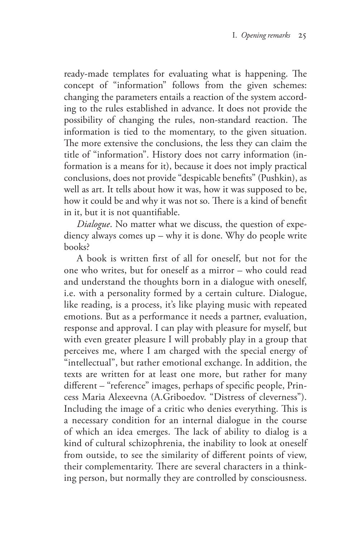ready-made templates for evaluating what is happening. The concept of "information" follows from the given schemes: changing the parameters entails a reaction of the system according to the rules established in advance. It does not provide the possibility of changing the rules, non-standard reaction. The information is tied to the momentary, to the given situation. The more extensive the conclusions, the less they can claim the title of "information". History does not carry information (information is a means for it), because it does not imply practical conclusions, does not provide "despicable benefits" (Pushkin), as well as art. It tells about how it was, how it was supposed to be, how it could be and why it was not so. There is a kind of benefit in it, but it is not quantifiable.

*Dialogue*. No matter what we discuss, the question of expediency always comes up – why it is done. Why do people write books?

A book is written first of all for oneself, but not for the one who writes, but for oneself as a mirror – who could read and understand the thoughts born in a dialogue with oneself, i.e. with a personality formed by a certain culture. Dialogue, like reading, is a process, it's like playing music with repeated emotions. But as a performance it needs a partner, evaluation, response and approval. I can play with pleasure for myself, but with even greater pleasure I will probably play in a group that perceives me, where I am charged with the special energy of "intellectual", but rather emotional exchange. In addition, the texts are written for at least one more, but rather for many different – "reference" images, perhaps of specific people, Princess Maria Alexeevna (A.Griboedov. "Distress of cleverness"). Including the image of a critic who denies everything. This is a necessary condition for an internal dialogue in the course of which an idea emerges. The lack of ability to dialog is a kind of cultural schizophrenia, the inability to look at oneself from outside, to see the similarity of different points of view, their complementarity. There are several characters in a thinking person, but normally they are controlled by consciousness.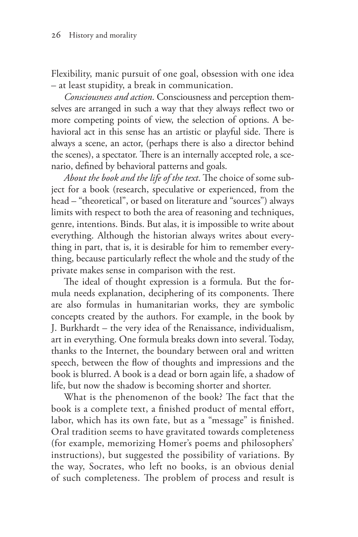Flexibility, manic pursuit of one goal, obsession with one idea – at least stupidity, a break in communication.

*Consciousness and action*. Consciousness and perception themselves are arranged in such a way that they always reflect two or more competing points of view, the selection of options. A behavioral act in this sense has an artistic or playful side. There is always a scene, an actor, (perhaps there is also a director behind the scenes), a spectator. There is an internally accepted role, a scenario, defined by behavioral patterns and goals.

*About the book and the life of the text*. The choice of some subject for a book (research, speculative or experienced, from the head – "theoretical", or based on literature and "sources") always limits with respect to both the area of reasoning and techniques, genre, intentions. Binds. But alas, it is impossible to write about everything. Although the historian always writes about everything in part, that is, it is desirable for him to remember everything, because particularly reflect the whole and the study of the private makes sense in comparison with the rest.

The ideal of thought expression is a formula. But the formula needs explanation, deciphering of its components. There are also formulas in humanitarian works, they are symbolic concepts created by the authors. For example, in the book by J. Burkhardt – the very idea of the Renaissance, individualism, art in everything. One formula breaks down into several. Today, thanks to the Internet, the boundary between oral and written speech, between the flow of thoughts and impressions and the book is blurred. A book is a dead or born again life, a shadow of life, but now the shadow is becoming shorter and shorter.

What is the phenomenon of the book? The fact that the book is a complete text, a finished product of mental effort, labor, which has its own fate, but as a "message" is finished. Oral tradition seems to have gravitated towards completeness (for example, memorizing Homer's poems and philosophers' instructions), but suggested the possibility of variations. By the way, Socrates, who left no books, is an obvious denial of such completeness. The problem of process and result is